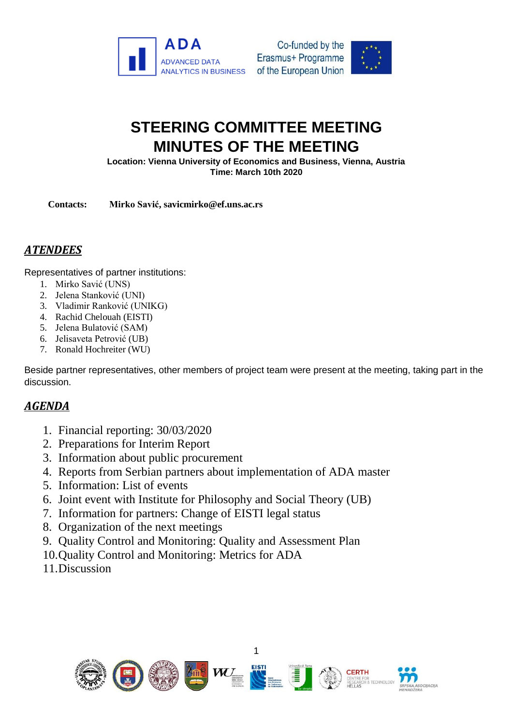



## **STEERING COMMITTEE MEETING MINUTES OF THE MEETING**

**Location: Vienna University of Economics and Business, Vienna, Austria Time: March 10th 2020**

**Contacts: Mirko Savić, savicmirko@ef.uns.ac.rs**

## *ATENDEES*

Representatives of partner institutions:

- 1. Mirko Savić (UNS)
- 2. Jelena Stanković (UNI)
- 3. Vladimir Ranković (UNIKG)
- 4. Rachid Chelouah (EISTI)
- 5. Jelena Bulatović (SAM)
- 6. Jelisaveta Petrović (UB)
- 7. Ronald Hochreiter (WU)

Beside partner representatives, other members of project team were present at the meeting, taking part in the discussion.

## *AGENDA*

- 1. Financial reporting: 30/03/2020
- 2. Preparations for Interim Report
- 3. Information about public procurement
- 4. Reports from Serbian partners about implementation of ADA master
- 5. Information: List of events
- 6. Joint event with Institute for Philosophy and Social Theory (UB)
- 7. Information for partners: Change of EISTI legal status
- 8. Organization of the next meetings
- 9. Quality Control and Monitoring: Quality and Assessment Plan
- 10.Quality Control and Monitoring: Metrics for ADA
- 11.Discussion

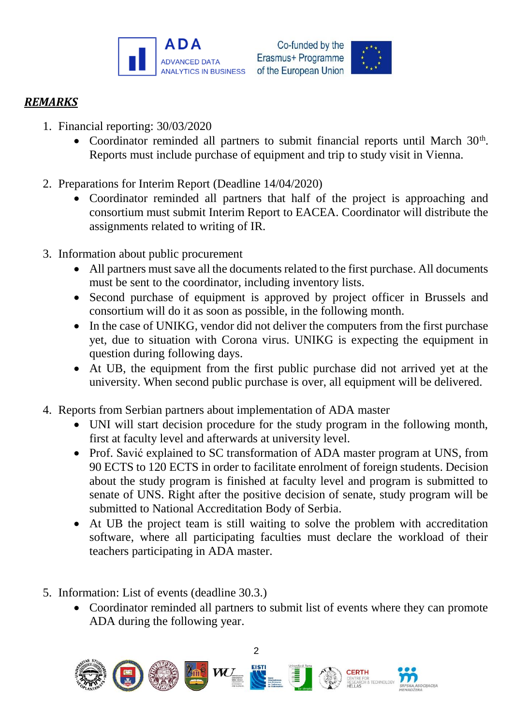



## *REMARKS*

- 1. Financial reporting: 30/03/2020
	- Coordinator reminded all partners to submit financial reports until March 30<sup>th</sup>. Reports must include purchase of equipment and trip to study visit in Vienna.
- 2. Preparations for Interim Report (Deadline 14/04/2020)
	- Coordinator reminded all partners that half of the project is approaching and consortium must submit Interim Report to EACEA. Coordinator will distribute the assignments related to writing of IR.
- 3. Information about public procurement
	- All partners must save all the documents related to the first purchase. All documents must be sent to the coordinator, including inventory lists.
	- Second purchase of equipment is approved by project officer in Brussels and consortium will do it as soon as possible, in the following month.
	- In the case of UNIKG, vendor did not deliver the computers from the first purchase yet, due to situation with Corona virus. UNIKG is expecting the equipment in question during following days.
	- At UB, the equipment from the first public purchase did not arrived yet at the university. When second public purchase is over, all equipment will be delivered.
- 4. Reports from Serbian partners about implementation of ADA master
	- UNI will start decision procedure for the study program in the following month, first at faculty level and afterwards at university level.
	- Prof. Savić explained to SC transformation of ADA master program at UNS, from 90 ECTS to 120 ECTS in order to facilitate enrolment of foreign students. Decision about the study program is finished at faculty level and program is submitted to senate of UNS. Right after the positive decision of senate, study program will be submitted to National Accreditation Body of Serbia.
	- At UB the project team is still waiting to solve the problem with accreditation software, where all participating faculties must declare the workload of their teachers participating in ADA master.
- 5. Information: List of events (deadline 30.3.)
	- Coordinator reminded all partners to submit list of events where they can promote ADA during the following year.